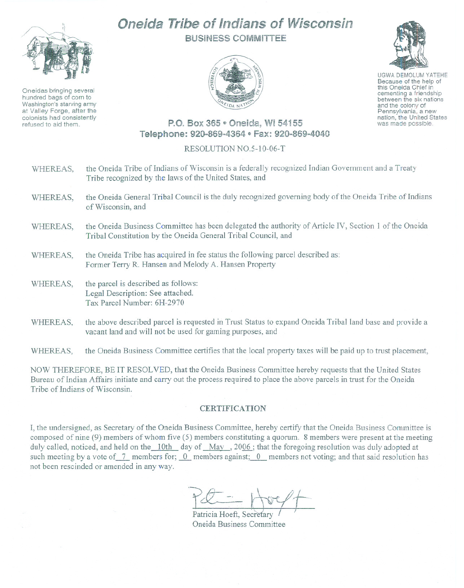

Oneidas bringing several hundred bags of corn to Washington's starving army at Valley Forge, after the colonists had consistently refused to aid them.

## **Oneida Tribe of Indians of Wisconsin** BUSINESS COMMITTEE



UGWA DEMOLUM YATEHE Because of the help of this Oneida Chief in<br>cementing a friendship between the six nations

and the colony of<br>Pennsylvania, a new nation, the United States was made possible.

## P.O. Box 365 · Oneida, WI 54155 Telephone: 920-869-4364 · Fax: 920-869-4040

## RESOLUTION NO.5-10-06-T

| WHEREAS, | the Oneida Tribe of Indians of Wisconsin is a federally recognized Indian Government and a Treaty<br>Tribe recognized by the laws of the United States, and            |
|----------|------------------------------------------------------------------------------------------------------------------------------------------------------------------------|
| WHEREAS, | the Oneida General Tribal Council is the duly recognized governing body of the Oneida Tribe of Indians<br>of Wisconsin, and                                            |
| WHEREAS, | the Oneida Business Committee has been delegated the authority of Article IV, Section 1 of the Oneida<br>Tribal Constitution by the Oneida General Tribal Council, and |
| WHEREAS, | the Oneida Tribe has acquired in fee status the following parcel described as:<br>Former Terry R. Hansen and Melody A. Hansen Property                                 |
| WHEREAS, | the parcel is described as follows:<br>Legal Description: See attached.<br>Tax Parcel Number: 6H-2970                                                                  |
| WHEREAS, | the above described parcel is requested in Trust Status to expand Oneida Tribal land base and provide a                                                                |

WHEREAS, the Oneida Business Committee certifies that the local property taxes will be paid up to trust placement,

vacant land and will not be used for gaming purposes, and

NOW THEREFORE, BE IT RESOLVED, that the Oneida Business Committee hereby requests that the United States Bureau of Indian Affairs initiate and carry out the process required to place the above parcels in trust for the Oneida Tribe of Indians of Wisconsin.

## **CERTIFICATION**

I, the undersigned, as Secretary of the Oneida Business Committee, hereby certify that the Oneida Business Committee is composed of nine (9) members of whom five (5) members constituting a quorum. 8 members were present at the meeting duly called, noticed, and held on the 10th day of May, 2006; that the foregoing resolution was duly adopted at such meeting by a vote of 7 members for; 0 members against; 0 members not voting; and that said resolution has not been rescinded or amended in any way .

 $P_{\tau} = \frac{1}{2}$  $rac{1}{\sqrt{2}}$ 

Patricia Hoeft, Secretary Oneida Business Committee